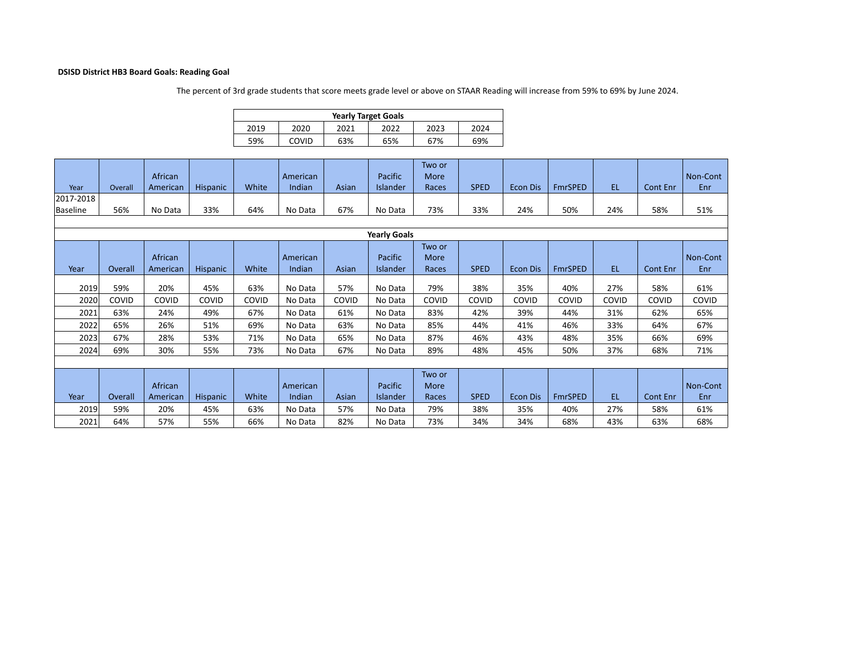## **DSISD District HB3 Board Goals: Reading Goal**

The percent of 3rd grade students that score meets grade level or above on STAAR Reading will increase from 59% to 69% by June 2024.

|      | <b>Yearly Target Goals</b> |      |     |     |     |  |  |  |  |  |  |  |  |
|------|----------------------------|------|-----|-----|-----|--|--|--|--|--|--|--|--|
| 2019 | 2023                       | 2024 |     |     |     |  |  |  |  |  |  |  |  |
| 59%  | COVID                      | 63%  | 65% | 67% | 69% |  |  |  |  |  |  |  |  |

| Year<br>2017-2018<br>Baseline | Overall<br>56%      | African<br>American<br>No Data | Hispanic<br>33% | White<br>64% | American<br>Indian<br>No Data | Asian<br>67% | Pacific<br>Islander<br>No Data | Two or<br>More<br>Races<br>73% | <b>SPED</b><br>33% | <b>Econ Dis</b><br>24% | <b>FmrSPED</b><br>50% | EL.<br>24% | <b>Cont Enr</b><br>58% | Non-Cont<br>Enr<br>51% |
|-------------------------------|---------------------|--------------------------------|-----------------|--------------|-------------------------------|--------------|--------------------------------|--------------------------------|--------------------|------------------------|-----------------------|------------|------------------------|------------------------|
|                               | <b>Yearly Goals</b> |                                |                 |              |                               |              |                                |                                |                    |                        |                       |            |                        |                        |
| Year                          | Overall             | African<br>American            | <b>Hispanic</b> | White        | American<br>Indian            | Asian        | Pacific<br>Islander            | Two or<br>More<br>Races        | <b>SPED</b>        | <b>Econ Dis</b>        | <b>FmrSPED</b>        | EL.        | <b>Cont Enr</b>        | Non-Cont<br>Enr        |
| 2019                          | 59%                 | 20%                            | 45%             | 63%          | No Data                       | 57%          | No Data                        | 79%                            | 38%                | 35%                    | 40%                   | 27%        | 58%                    | 61%                    |
| 2020                          | COVID               | COVID                          | COVID           | COVID        | No Data                       | COVID        | No Data                        | COVID                          | COVID              | COVID                  | COVID                 | COVID      | COVID                  | COVID                  |
|                               |                     |                                |                 |              |                               |              |                                |                                |                    |                        |                       |            |                        |                        |
| 2021                          | 63%                 | 24%                            | 49%             | 67%          | No Data                       | 61%          | No Data                        | 83%                            | 42%                | 39%                    | 44%                   | 31%        | 62%                    | 65%                    |
| 2022                          | 65%                 | 26%                            | 51%             | 69%          | No Data                       | 63%          | No Data                        | 85%                            | 44%                | 41%                    | 46%                   | 33%        | 64%                    | 67%                    |
| 2023                          | 67%                 | 28%                            | 53%             | 71%          | No Data                       | 65%          | No Data                        | 87%                            | 46%                | 43%                    | 48%                   | 35%        | 66%                    | 69%                    |
| 2024                          | 69%                 | 30%                            | 55%             | 73%          | No Data                       | 67%          | No Data                        | 89%                            | 48%                | 45%                    | 50%                   | 37%        | 68%                    | 71%                    |
|                               |                     |                                |                 |              |                               |              |                                |                                |                    |                        |                       |            |                        |                        |
|                               |                     |                                |                 |              |                               |              |                                | Two or                         |                    |                        |                       |            |                        |                        |
|                               |                     | African                        |                 |              | American                      |              | Pacific                        | More                           |                    |                        |                       |            |                        | Non-Cont               |
| Year                          | Overall             | American                       | <b>Hispanic</b> | White        | Indian                        | Asian        | <b>Islander</b>                | Races                          | <b>SPED</b>        | <b>Econ Dis</b>        | <b>FmrSPED</b>        | EL.        | Cont Enr               | Enr                    |
| 2019                          | 59%                 | 20%                            | 45%             | 63%          | No Data                       | 57%          | No Data                        | 79%                            | 38%                | 35%                    | 40%                   | 27%        | 58%                    | 61%                    |
| 2021                          | 64%                 | 57%                            | 55%             | 66%          | No Data                       | 82%          | No Data                        | 73%                            | 34%                | 34%                    | 68%                   | 43%        | 63%                    | 68%                    |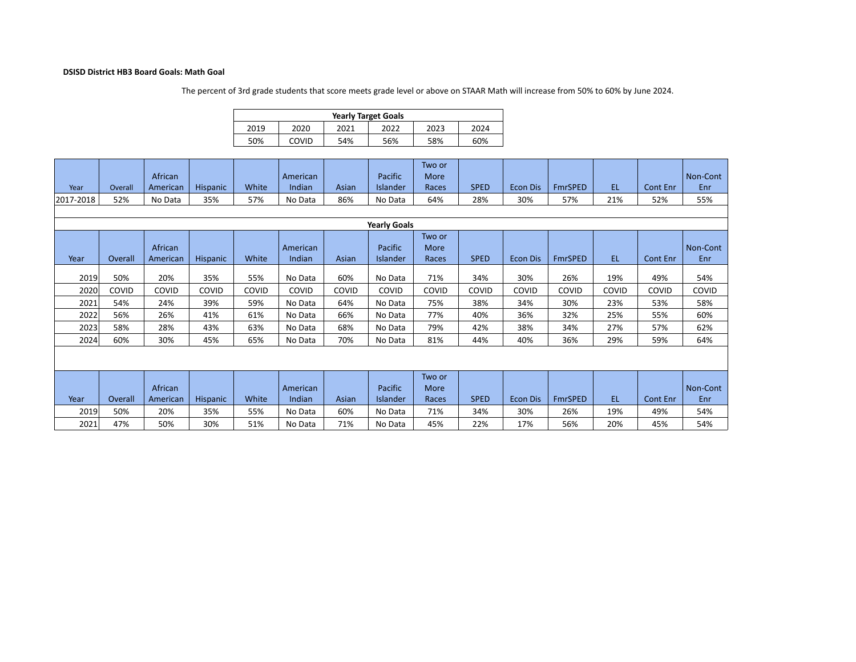## **DSISD District HB3 Board Goals: Math Goal**

The percent of 3rd grade students that score meets grade level or above on STAAR Math will increase from 50% to 60% by June 2024.

|      | <b>Yearly Target Goals</b> |      |      |      |      |  |  |  |  |  |  |  |  |
|------|----------------------------|------|------|------|------|--|--|--|--|--|--|--|--|
| 2019 | 2020                       | 2021 | 2022 | 2023 | 2024 |  |  |  |  |  |  |  |  |
| 50%  | COVID                      | 54%  | 56%  | 58%  | 60%  |  |  |  |  |  |  |  |  |

|                     |         | African  |                 |       | American |       | Pacific         | Two or<br>More |             |                 |                |           |                 | Non-Cont |
|---------------------|---------|----------|-----------------|-------|----------|-------|-----------------|----------------|-------------|-----------------|----------------|-----------|-----------------|----------|
| Year                | Overall | American | <b>Hispanic</b> | White | Indian   | Asian | <b>Islander</b> | Races          | <b>SPED</b> | <b>Econ Dis</b> | <b>FmrSPED</b> | <b>EL</b> | Cont Enr        | Enr      |
| 2017-2018           | 52%     | No Data  | 35%             | 57%   | No Data  | 86%   | No Data         | 64%            | 28%         | 30%             | 57%            | 21%       | 52%             | 55%      |
|                     |         |          |                 |       |          |       |                 |                |             |                 |                |           |                 |          |
| <b>Yearly Goals</b> |         |          |                 |       |          |       |                 |                |             |                 |                |           |                 |          |
| Two or              |         |          |                 |       |          |       |                 |                |             |                 |                |           |                 |          |
|                     |         | African  |                 |       | American |       | Pacific         | More           |             |                 |                |           |                 | Non-Cont |
| Year                | Overall | American | Hispanic        | White | Indian   | Asian | Islander        | Races          | <b>SPED</b> | <b>Econ Dis</b> | <b>FmrSPED</b> | EL.       | <b>Cont Enr</b> | Enr      |
| 2019                | 50%     | 20%      | 35%             | 55%   | No Data  | 60%   | No Data         | 71%            | 34%         | 30%             | 26%            | 19%       | 49%             | 54%      |
| 2020                | COVID   | COVID    | COVID           | COVID | COVID    | COVID | COVID           | COVID          | COVID       | COVID           | COVID          | COVID     | COVID           | COVID    |
| 2021                | 54%     | 24%      | 39%             | 59%   | No Data  | 64%   | No Data         | 75%            | 38%         | 34%             | 30%            | 23%       | 53%             | 58%      |
| 2022                | 56%     | 26%      | 41%             | 61%   | No Data  | 66%   | No Data         | 77%            | 40%         | 36%             | 32%            | 25%       | 55%             | 60%      |
| 2023                | 58%     | 28%      | 43%             | 63%   | No Data  | 68%   | No Data         | 79%            | 42%         | 38%             | 34%            | 27%       | 57%             | 62%      |
| 2024                | 60%     | 30%      | 45%             | 65%   | No Data  | 70%   | No Data         | 81%            | 44%         | 40%             | 36%            | 29%       | 59%             | 64%      |
|                     |         |          |                 |       |          |       |                 |                |             |                 |                |           |                 |          |
|                     |         |          |                 |       |          |       |                 | Two or         |             |                 |                |           |                 |          |
|                     |         | African  |                 |       | American |       | Pacific         | More           |             |                 |                |           |                 | Non-Cont |
| Year                | Overall | American | Hispanic        | White | Indian   | Asian | Islander        | Races          | <b>SPED</b> | <b>Econ Dis</b> | <b>FmrSPED</b> | EL.       | Cont Enr        | Enr      |
| 2019                | 50%     | 20%      | 35%             | 55%   | No Data  | 60%   | No Data         | 71%            | 34%         | 30%             | 26%            | 19%       | 49%             | 54%      |
| 2021                | 47%     | 50%      | 30%             | 51%   | No Data  | 71%   | No Data         | 45%            | 22%         | 17%             | 56%            | 20%       | 45%             | 54%      |